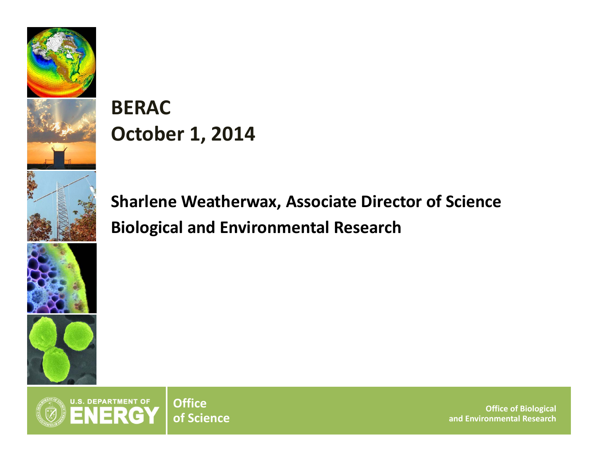

## **BERACOctober 1, 2014**

**Sharlene Weatherwax, Associate Director of Science Biological and Environmental Research**



**Office of Biological and Environmental Research**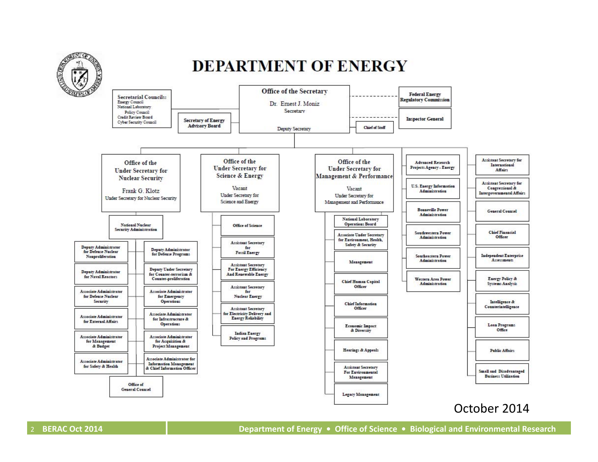

### **DEPARTMENT OF ENERGY**



2**BERAC**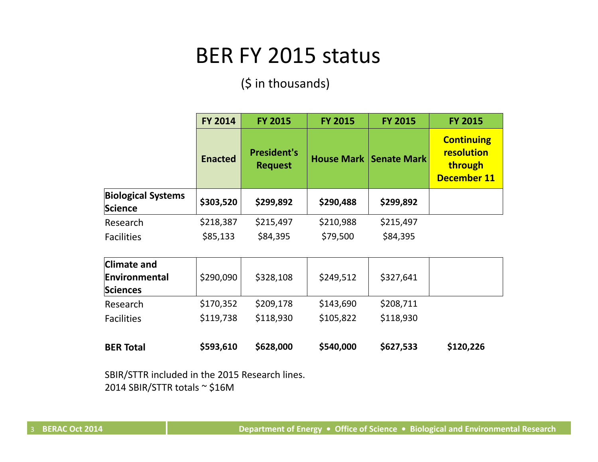## BER FY 2015 status

(\$ in thousands)

|                                      | <b>FY 2014</b> | <b>FY 2015</b>                       | <b>FY 2015</b>    | <b>FY 2015</b>     | <b>FY 2015</b>                                                   |
|--------------------------------------|----------------|--------------------------------------|-------------------|--------------------|------------------------------------------------------------------|
|                                      | <b>Enacted</b> | <b>President's</b><br><b>Request</b> | <b>House Mark</b> | <b>Senate Mark</b> | <b>Continuing</b><br>resolution<br>through<br><b>December 11</b> |
| <b>Biological Systems</b><br>Science | \$303,520      | \$299,892                            | \$290,488         | \$299,892          |                                                                  |
| Research                             | \$218,387      | \$215,497                            | \$210,988         | \$215,497          |                                                                  |
| <b>Facilities</b>                    | \$85,133       | \$84,395                             | \$79,500          | \$84,395           |                                                                  |
| <b>Climate and</b>                   |                |                                      |                   |                    |                                                                  |
| Environmental<br>Sciences            | \$290,090      | \$328,108                            | \$249,512         | \$327,641          |                                                                  |
| Research                             | \$170,352      | \$209,178                            | \$143,690         | \$208,711          |                                                                  |
| <b>Facilities</b>                    | \$119,738      | \$118,930                            | \$105,822         | \$118,930          |                                                                  |
| <b>BER Total</b>                     | \$593,610      | \$628,000                            | \$540,000         | \$627,533          | \$120,226                                                        |

SBIR/STTR included in the 2015 Research lines. 2014 SBIR/STTR totals <sup>~</sup> \$16M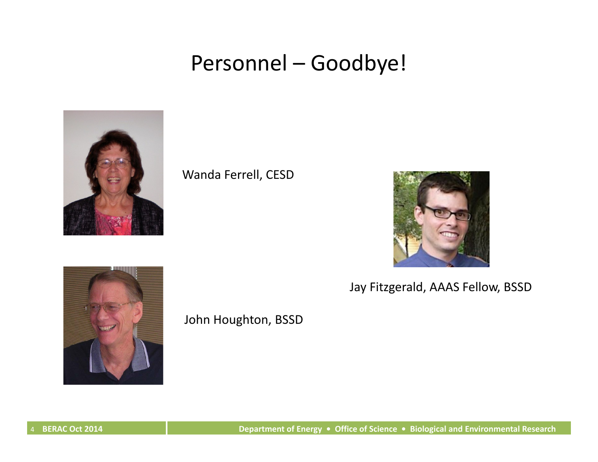## Personnel – Goodbye!



Wanda Ferrell, CESD



Jay Fitzgerald, AAAS Fellow, BSSD



John Houghton, BSSD

C Oct 2014 C Oct 2014 C Oct 2014 C Department of Energy • Office of Science • Biological and Environmental Research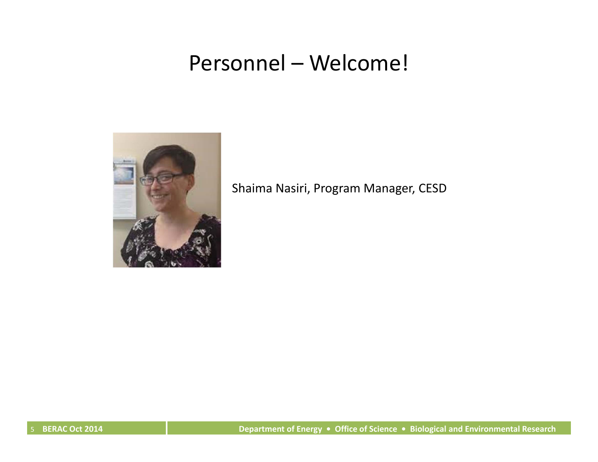## Personnel – Welcome!



Shaima Nasiri, Program Manager, CESD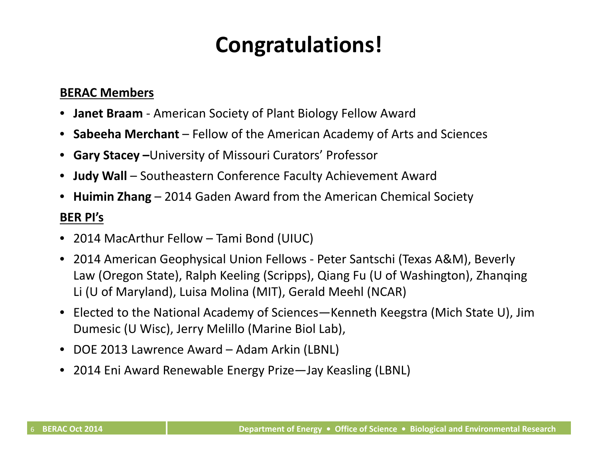# **Congratulations!**

#### **BERAC Members**

- $\bullet$ **Janet Braam** ‐ American Society of Plant Biology Fellow Award
- **Sabeeha Merchant** Fellow of the American Academy of Arts and Sciences
- **Gary Stacey –**University of Missouri Curators' Professor
- **Judy Wall** Southeastern Conference Faculty Achievement Award
- **Huimin Zhang** 2014 Gaden Award from the American Chemical Society

#### **BER PI's**

- 2014 MacArthur Fellow Tami Bond (UIUC)
- 2014 American Geophysical Union Fellows ‐ Peter Santschi (Texas A&M), Beverly Law (Oregon State), Ralph Keeling (Scripps), Qiang Fu (U of Washington), Zhanqing Li (U of Maryland), Luisa Molina (MIT), Gerald Meehl (NCAR)
- Elected to the National Academy of Sciences—Kenneth Keegstra (Mich State U), Jim Dumesic (U Wisc), Jerry Melillo (Marine Biol Lab),
- DOE 2013 Lawrence Award Adam Arkin (LBNL)
- 2014 Eni Award Renewable Energy Prize—Jay Keasling (LBNL)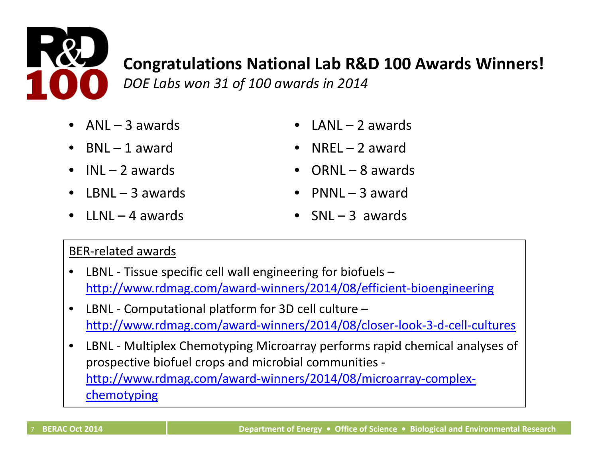

### **Congratulations National Lab R&D 100 Awards Winners!**

*DOE Labs won 31 of 100 awards in 2014*

- •ANL – 3
- BNL 1 award
- INL 2
- •LBNL – 3
- LLNL 4
- $LANL 2$  awards
- NREL  $-2$  award
- ORNL 8 awards
- PNNL  $-$  3 award
- $SNL 3$  awards

### BER‐related awards

- •● LBNL - Tissue specific cell wall engineering for biofuels – http://www.rdmag.com/award‐winners/2014/08/efficient‐bioengineering
- •● LBNL - Computational platform for 3D cell culture – http://www.rdmag.com/award‐winners/2014/08/closer‐look‐3‐d‐cell‐cultures
- •● LBNL - Multiplex Chemotyping Microarray performs rapid chemical analyses of prospective biofuel crops and microbial communities ‐ http://www.rdmag.com/award‐winners/2014/08/microarray‐complex‐ chemotyping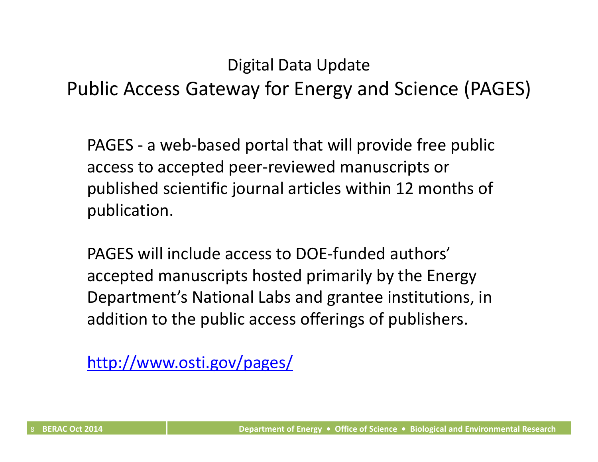### Digital Data Update

Public Access Gateway for Energy and Science (PAGES)

PAGES ‐ a web‐based portal that will provide free public access to accepted peer‐reviewed manuscripts or published scientific journal articles within 12 months of publication.

PAGES will include access to DOE‐funded authors' accepted manuscripts hosted primarily by the Energy Department's National Labs and grantee institutions, in addition to the public access offerings of publishers.

[http://www.osti.gov/pages/](http://www.osti.gov/pages)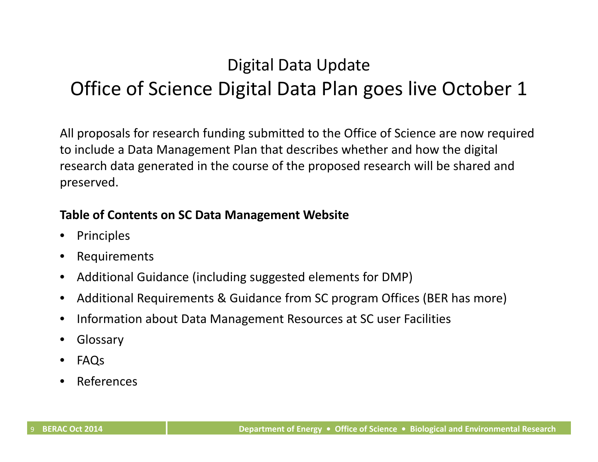## Digital Data Update Office of Science Digital Data Plan goes live October 1

All proposals for research funding submitted to the Office of Science are now required to include <sup>a</sup> Data Management Plan that describes whether and how the digital research data generated in the course of the proposed research will be shared and preserved.

#### **Table of Contents on SC Data Management Website**

- •Principles
- •Requirements
- $\bullet$ Additional Guidance (including suggested elements for DMP)
- $\bullet$ Additional Requirements & Guidance from SC program Offices (BER has more)
- $\bullet$ • Information about Data Management Resources at SC user Facilities
- •Glossary
- •FAQs
- •References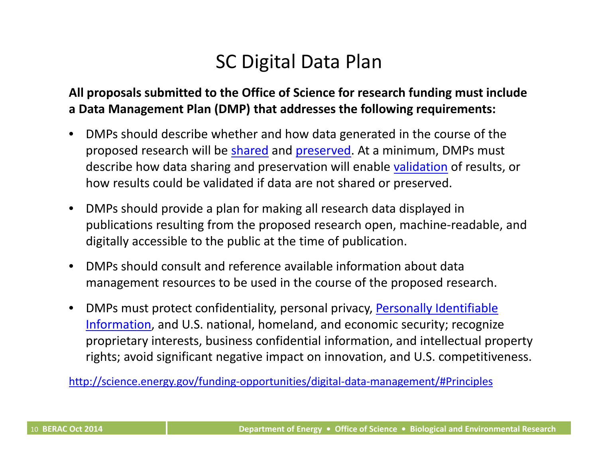## SC Digital Data Plan

### **All proposals submitted to the Office of Science for research funding must include a Data Management Plan (DMP) that addresses the following requirements:**

- $\bullet$  DMPs should describe whether and how data generated in the course of the proposed research will be shared and preserved. At <sup>a</sup> minimum, DMPs must describe how data sharing and preservation will enable <u>validation</u> of results, or how results could be validated if data are not shared or preserved.
- $\bullet$  DMPs should provide <sup>a</sup> plan for making all research data displayed in publications resulting from the proposed research open, machine‐readable, and digitally accessible to the public at the time of publication.
- $\bullet$  DMPs should consult and reference available information about data management resources to be used in the course of the proposed research.
- $\bullet$ • DMPs must protect confidentiality, personal privacy, **Personally Identifiable** Information, and U.S. national, homeland, and economic security; recognize proprietary interests, business confidential information, and intellectual property rights; avoid significant negative impact on innovation, and U.S. competitiveness.

[http://science.energy.gov/funding](http://science.energy.gov/funding-opportunities/digital-data-management/#Principles)‐opportunities/digital‐data‐management/#Principles